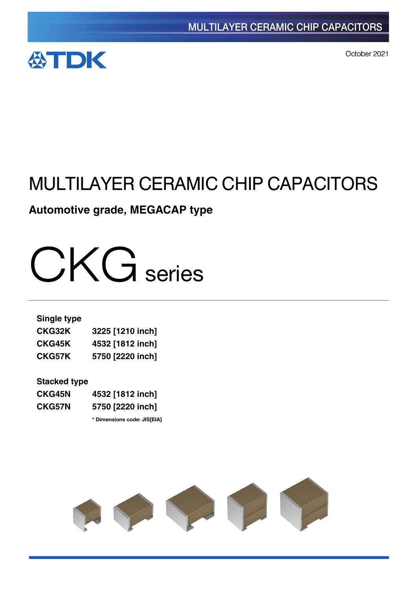

October 2021

## MULTILAYER CERAMIC CHIP CAPACITORS

### **Automotive grade, MEGACAP type**

# CKG series

#### **Single type**

| <b>CKG32K</b> | 3225 [1210 inch] |
|---------------|------------------|
| <b>CKG45K</b> | 4532 [1812 inch] |
| CKG57K        | 5750 [2220 inch] |

#### **Stacked type**

| <b>CKG45N</b> | 4532 [1812 inch] |
|---------------|------------------|
| <b>CKG57N</b> | 5750 [2220 inch] |

**\*** Dimensions code: JIS[EIA]

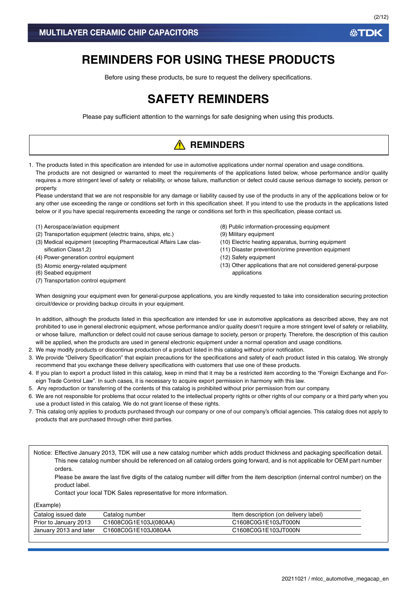### **REMINDERS FOR USING THESE PRODUCTS**

Before using these products, be sure to request the delivery specifications.

### **SAFETY REMINDERS**

Please pay sufficient attention to the warnings for safe designing when using this products.

### **A** REMINDERS

1. The products listed in this specification are intended for use in automotive applications under normal operation and usage conditions. The products are not designed or warranted to meet the requirements of the applications listed below, whose performance and/or quality requires a more stringent level of safety or reliability, or whose failure, malfunction or defect could cause serious damage to society, person or property.

Please understand that we are not responsible for any damage or liability caused by use of the products in any of the applications below or for any other use exceeding the range or conditions set forth in this specification sheet. If you intend to use the products in the applications listed below or if you have special requirements exceeding the range or conditions set forth in this specification, please contact us.

- (1) Aerospace/aviation equipment
- (2) Transportation equipment (electric trains, ships, etc.)
- (3) Medical equipment (excepting Pharmaceutical Affairs Law classification Class1,2)
- (4) Power-generation control equipment
- (5) Atomic energy-related equipment
- (6) Seabed equipment
- (7) Transportation control equipment
- (8) Public information-processing equipment
- (9) Military equipment
- (10) Electric heating apparatus, burning equipment
- (11) Disaster prevention/crime prevention equipment
- (12) Safety equipment
- (13) Other applications that are not considered general-purpose applications

When designing your equipment even for general-purpose applications, you are kindly requested to take into consideration securing protection circuit/device or providing backup circuits in your equipment.

In addition, although the products listed in this specification are intended for use in automotive applications as described above, they are not prohibited to use in general electronic equipment, whose performance and/or quality doesn't require a more stringent level of safety or reliability, or whose failure, malfunction or defect could not cause serious damage to society, person or property. Therefore, the description of this caution will be applied, when the products are used in general electronic equipment under a normal operation and usage conditions.

- 2. We may modify products or discontinue production of a product listed in this catalog without prior notification.
- 3. We provide "Delivery Specification" that explain precautions for the specifications and safety of each product listed in this catalog. We strongly recommend that you exchange these delivery specifications with customers that use one of these products.
- 4. If you plan to export a product listed in this catalog, keep in mind that it may be a restricted item according to the "Foreign Exchange and Foreign Trade Control Law". In such cases, it is necessary to acquire export permission in harmony with this law.
- 5. Any reproduction or transferring of the contents of this catalog is prohibited without prior permission from our company.
- 6. We are not responsible for problems that occur related to the intellectual property rights or other rights of our company or a third party when you use a product listed in this catalog. We do not grant license of these rights.
- 7. This catalog only applies to products purchased through our company or one of our company's official agencies. This catalog does not apply to products that are purchased through other third parties.

Notice: Effective January 2013, TDK will use a new catalog number which adds product thickness and packaging specification detail. This new catalog number should be referenced on all catalog orders going forward, and is not applicable for OEM part number orders.

Please be aware the last five digits of the catalog number will differ from the item description (internal control number) on the product label.

Contact your local TDK Sales representative for more information.

(Example)

| Catalog issued date    | Catalog number        | Item description (on delivery label) |
|------------------------|-----------------------|--------------------------------------|
| Prior to January 2013  | C1608C0G1E103J(080AA) | C1608C0G1E103JT000N                  |
| January 2013 and later | C1608C0G1E103J080AA   | C1608C0G1E103JT000N                  |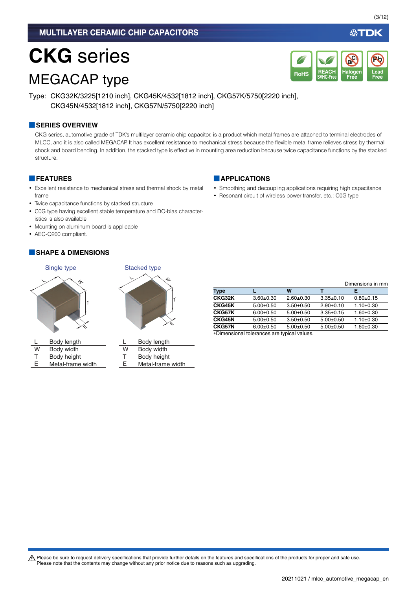# **CKG** series

### MEGACAP type



Type: CKG32K/3225[1210 inch], CKG45K/4532[1812 inch], CKG57K/5750[2220 inch], CKG45N/4532[1812 inch], CKG57N/5750[2220 inch]

#### **■SERIES OVERVIEW**

CKG series, automotive grade of TDK's multilayer ceramic chip capacitor, is a product which metal frames are attached to terminal electrodes of MLCC, and it is also called MEGACAP. It has excellent resistance to mechanical stress because the flexible metal frame relieves stress by thermal shock and board bending. In addition, the stacked type is effective in mounting area reduction because twice capacitance functions by the stacked structure.

#### **■FEATURES**

- Excellent resistance to mechanical stress and thermal shock by metal frame
- Twice capacitance functions by stacked structure
- C0G type having excellent stable temperature and DC-bias characteristics is also available
- Mounting on aluminum board is applicable
- AEC-Q200 compliant.

#### **■SHAPE & DIMENSIONS**





|   | Body length       |
|---|-------------------|
| W | Body width        |
| т | Body height       |
| F | Metal-frame width |

E

|   | Body length       |
|---|-------------------|
| w | Body width        |
| т | Body height       |
| F | Metal-frame width |

|               |               |             |                 | Dimensions in mm |
|---------------|---------------|-------------|-----------------|------------------|
| Type          |               | w           |                 | F                |
| CKG32K        | $3.60 + 0.30$ | $2.60+0.30$ | $3.35 \pm 0.10$ | $0.80 + 0.15$    |
| <b>CKG45K</b> | $5.00+0.50$   | $3.50+0.50$ | $2.90+0.10$     | $1.10+0.30$      |
| CKG57K        | $6.00+0.50$   | $5.00+0.50$ | $3.35 \pm 0.15$ | $1.60 + 0.30$    |
| <b>CKG45N</b> | $5.00+0.50$   | $3.50+0.50$ | $5.00+0.50$     | $1.10+0.30$      |
| <b>CKG57N</b> | $6.00+0.50$   | $5.00+0.50$ | $5.00+0.50$     | $1.60 + 0.30$    |
|               |               |             |                 |                  |

Dimensional tolerances are typical values.

A Please be sure to request delivery specifications that provide further details on the features and specifications of the products for proper and safe use. Please note that the contents may change without any prior notice due to reasons such as upgrading.

#### **■APPLICATIONS**

- Smoothing and decoupling applications requiring high capacitance
- Resonant circuit of wireless power transfer, etc.: C0G type

必TDK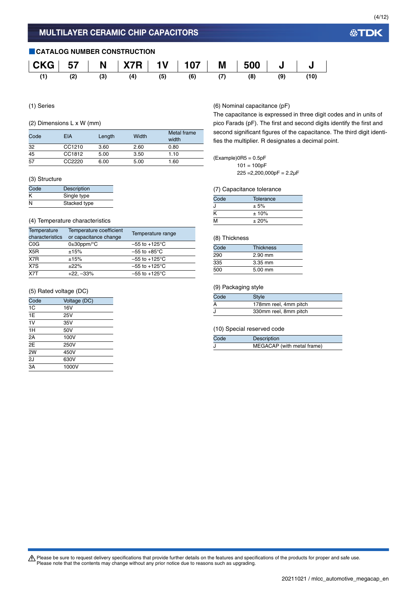#### **■CATALOG NUMBER CONSTRUCTION CKG 57 N X7R 1V 107 M 500 J J (1) (2) (3) (4) (5) (6) (7) (8) (9) (10)**

#### (1) Series

#### (2) Dimensions L x W (mm)

| Code | EIA    | Length | Width | Metal frame<br>width |
|------|--------|--------|-------|----------------------|
| 32   | CC1210 | 3.60   | 2.60  | 0.80                 |
| 45   | CC1812 | 5.00   | 3.50  | 1.10                 |
| 57   | CC2220 | 6.00   | 5.00  | 1.60                 |

#### (3) Structure

| Code | <b>Description</b> |
|------|--------------------|
| Κ    | Single type        |
| N    | Stacked type       |

#### (4) Temperature characteristics

| Temperature<br>characteristics | Temperature coefficient<br>or capacitance change | Temperature range         |
|--------------------------------|--------------------------------------------------|---------------------------|
| C <sub>0</sub> G               | $0\pm 30$ ppm/ $\degree$ C                       | $-55$ to $+125^{\circ}$ C |
| X <sub>5</sub> R               | ±15%                                             | $-55$ to $+85^{\circ}$ C  |
| X7R                            | ±15%                                             | $-55$ to $+125^{\circ}$ C |
| X7S                            | $+22%$                                           | $-55$ to $+125^{\circ}$ C |
| X <sub>7</sub> T               | $+22. -33%$                                      | $-55$ to $+125^{\circ}$ C |

#### (5) Rated voltage (DC)

| Code           | Voltage (DC) |
|----------------|--------------|
| 1 <sup>C</sup> | 16V          |
| 1E             | 25V          |
| 1V             | 35V          |
| 1H             | 50V          |
| 2A             | 100V         |
| 2E             | 250V         |
| 2W             | 450V         |
| 2J             | 630V         |
| 3A             | 1000V        |
|                |              |

#### (6) Nominal capacitance (pF)

The capacitance is expressed in three digit codes and in units of pico Farads (pF). The first and second digits identify the first and second significant figures of the capacitance. The third digit identifies the multiplier. R designates a decimal point.

#### $(Example)$ OR5 = 0.5pF

 $101 = 100pF$  $225 = 2,200,000pF = 2.2\mu F$ 

#### (7) Capacitance tolerance

| Code | Tolerance |  |
|------|-----------|--|
|      | ± 5%      |  |
| Κ    | ± 10%     |  |
| M    | ± 20%     |  |

#### (8) Thickness

| Code | <b>Thickness</b> |
|------|------------------|
| 290  | $2.90$ mm        |
| 335  | $3.35$ mm        |
| 500  | $5.00$ mm        |

#### (9) Packaging style

| Code | Style                 |
|------|-----------------------|
|      | 178mm reel, 4mm pitch |
|      | 330mm reel, 8mm pitch |

#### (10) Special reserved code

| Code | Description                |
|------|----------------------------|
|      | MEGACAP (with metal frame) |

Please be sure to request delivery specifications that provide further details on the features and specifications of the products for proper and safe use.<br>Please note that the contents may change without any prior notice d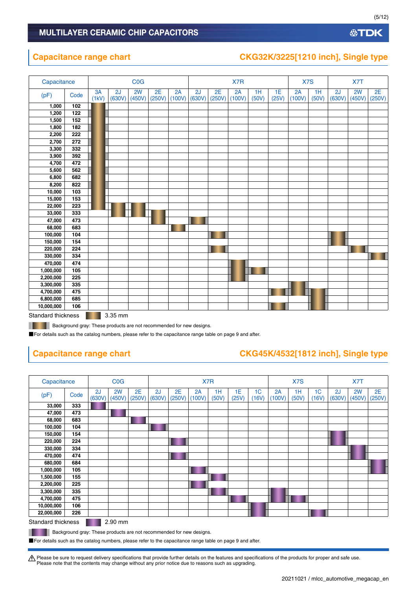### **Capacitance range chart CKG32K/3225[1210 inch], Single type**

| Capacitance |      |             |              | <b>COG</b>   |              |              |              |              | X7R          |             |             | X7S          |             |              | X7T          |              |
|-------------|------|-------------|--------------|--------------|--------------|--------------|--------------|--------------|--------------|-------------|-------------|--------------|-------------|--------------|--------------|--------------|
| (pF)        | Code | 3A<br>(1kV) | 2J<br>(630V) | 2W<br>(450V) | 2E<br>(250V) | 2A<br>(100V) | 2J<br>(630V) | 2E<br>(250V) | 2A<br>(100V) | 1H<br>(50V) | 1E<br>(25V) | 2A<br>(100V) | 1H<br>(50V) | 2J<br>(630V) | 2W<br>(450V) | 2E<br>(250V) |
| 1,000       | 102  |             |              |              |              |              |              |              |              |             |             |              |             |              |              |              |
| 1,200       | 122  |             |              |              |              |              |              |              |              |             |             |              |             |              |              |              |
| 1,500       | 152  |             |              |              |              |              |              |              |              |             |             |              |             |              |              |              |
| 1,800       | 182  |             |              |              |              |              |              |              |              |             |             |              |             |              |              |              |
| 2,200       | 222  |             |              |              |              |              |              |              |              |             |             |              |             |              |              |              |
| 2,700       | 272  |             |              |              |              |              |              |              |              |             |             |              |             |              |              |              |
| 3,300       | 332  |             |              |              |              |              |              |              |              |             |             |              |             |              |              |              |
| 3,900       | 392  |             |              |              |              |              |              |              |              |             |             |              |             |              |              |              |
| 4,700       | 472  |             |              |              |              |              |              |              |              |             |             |              |             |              |              |              |
| 5,600       | 562  |             |              |              |              |              |              |              |              |             |             |              |             |              |              |              |
| 6,800       | 682  |             |              |              |              |              |              |              |              |             |             |              |             |              |              |              |
| 8,200       | 822  |             |              |              |              |              |              |              |              |             |             |              |             |              |              |              |
| 10,000      | 103  |             |              |              |              |              |              |              |              |             |             |              |             |              |              |              |
| 15,000      | 153  |             |              |              |              |              |              |              |              |             |             |              |             |              |              |              |
| 22,000      | 223  |             |              |              |              |              |              |              |              |             |             |              |             |              |              |              |
| 33,000      | 333  |             |              |              |              |              |              |              |              |             |             |              |             |              |              |              |
| 47,000      | 473  |             |              |              |              |              |              |              |              |             |             |              |             |              |              |              |
| 68,000      | 683  |             |              |              |              |              |              |              |              |             |             |              |             |              |              |              |
| 100,000     | 104  |             |              |              |              |              |              |              |              |             |             |              |             |              |              |              |
| 150,000     | 154  |             |              |              |              |              |              |              |              |             |             |              |             |              |              |              |
| 220,000     | 224  |             |              |              |              |              |              |              |              |             |             |              |             |              |              |              |
| 330,000     | 334  |             |              |              |              |              |              |              |              |             |             |              |             |              |              |              |
| 470,000     | 474  |             |              |              |              |              |              |              |              |             |             |              |             |              |              |              |
| 1,000,000   | 105  |             |              |              |              |              |              |              |              |             |             |              |             |              |              |              |
| 2,200,000   | 225  |             |              |              |              |              |              |              |              |             |             |              |             |              |              |              |
| 3,300,000   | 335  |             |              |              |              |              |              |              |              |             |             |              |             |              |              |              |
| 4,700,000   | 475  |             |              |              |              |              |              |              |              |             |             |              |             |              |              |              |
| 6,800,000   | 685  |             |              |              |              |              |              |              |              |             |             |              |             |              |              |              |
| 10,000,000  | 106  |             |              |              |              |              |              |              |              |             |             |              |             |              |              |              |

Standard thickness 3.35 mm

**Background gray: These products are not recommended for new designs.** 

■For details such as the catalog numbers, please refer to the capacitance range table on page 9 and after.

#### **Capacitance range chart CKG45K/4532[1812 inch], Single type**

| Capacitance               |      |              | <b>C<sub>O</sub></b> G |              |              |              |              | X7R         |             |                         | X7S          |             |             | X7T          |              |              |
|---------------------------|------|--------------|------------------------|--------------|--------------|--------------|--------------|-------------|-------------|-------------------------|--------------|-------------|-------------|--------------|--------------|--------------|
| (pF)                      | Code | 2J<br>(630V) | 2W<br>(450V)           | 2E<br>(250V) | 2J<br>(630V) | 2E<br>(250V) | 2A<br>(100V) | 1H<br>(50V) | 1E<br>(25V) | 1 <sup>C</sup><br>(16V) | 2A<br>(100V) | 1H<br>(50V) | 1C<br>(16V) | 2J<br>(630V) | 2W<br>(450V) | 2E<br>(250V) |
| 33,000                    | 333  |              |                        |              |              |              |              |             |             |                         |              |             |             |              |              |              |
| 47,000                    | 473  |              |                        |              |              |              |              |             |             |                         |              |             |             |              |              |              |
| 68,000                    | 683  |              |                        |              |              |              |              |             |             |                         |              |             |             |              |              |              |
| 100,000                   | 104  |              |                        |              |              |              |              |             |             |                         |              |             |             |              |              |              |
| 150,000                   | 154  |              |                        |              |              |              |              |             |             |                         |              |             |             |              |              |              |
| 220,000                   | 224  |              |                        |              |              |              |              |             |             |                         |              |             |             |              |              |              |
| 330,000                   | 334  |              |                        |              |              |              |              |             |             |                         |              |             |             |              |              |              |
| 470,000                   | 474  |              |                        |              |              |              |              |             |             |                         |              |             |             |              |              |              |
| 680,000                   | 684  |              |                        |              |              |              |              |             |             |                         |              |             |             |              |              |              |
| 1,000,000                 | 105  |              |                        |              |              |              |              |             |             |                         |              |             |             |              |              |              |
| 1,500,000                 | 155  |              |                        |              |              |              |              |             |             |                         |              |             |             |              |              |              |
| 2,200,000                 | 225  |              |                        |              |              |              |              |             |             |                         |              |             |             |              |              |              |
| 3,300,000                 | 335  |              |                        |              |              |              |              |             |             |                         |              |             |             |              |              |              |
| 4,700,000                 | 475  |              |                        |              |              |              |              |             |             |                         |              |             |             |              |              |              |
| 10,000,000                | 106  |              |                        |              |              |              |              |             |             |                         |              |             |             |              |              |              |
| 22,000,000                | 226  |              |                        |              |              |              |              |             |             |                         |              |             |             |              |              |              |
| <b>Standard thickness</b> |      |              | 2.90 mm                |              |              |              |              |             |             |                         |              |             |             |              |              |              |

**Background gray: These products are not recommended for new designs.** 

■For details such as the catalog numbers, please refer to the capacitance range table on page 9 and after.

Please be sure to request delivery specifications that provide further details on the features and specifications of the products for proper and safe use.<br>Please note that the contents may change without any prior notice d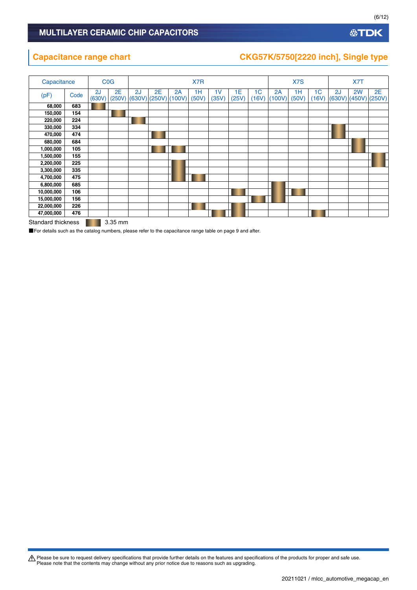#### **公TDK**

### **Capacitance range chart CKG57K/5750[2220 inch], Single type**

| Capacitance |      |              | <b>C<sub>O</sub></b> G |    |                              |    | X7R         |             |             |                         |              | X7S         |                         |              | X7T          |              |
|-------------|------|--------------|------------------------|----|------------------------------|----|-------------|-------------|-------------|-------------------------|--------------|-------------|-------------------------|--------------|--------------|--------------|
| (pF)        | Code | 2J<br>(630V) | 2E<br>(250V)           | 2J | 2E<br>$(630V)$ (250V) (100V) | 2A | 1H<br>(50V) | 1V<br>(35V) | 1E<br>(25V) | 1 <sub>C</sub><br>(16V) | 2A<br>(100V) | 1H<br>(50V) | 1 <sub>C</sub><br>(16V) | 2J<br>(630V) | 2W<br>(450V) | 2E<br>(250V) |
| 68,000      | 683  |              |                        |    |                              |    |             |             |             |                         |              |             |                         |              |              |              |
| 150,000     | 154  |              |                        |    |                              |    |             |             |             |                         |              |             |                         |              |              |              |
| 220,000     | 224  |              |                        |    |                              |    |             |             |             |                         |              |             |                         |              |              |              |
| 330,000     | 334  |              |                        |    |                              |    |             |             |             |                         |              |             |                         |              |              |              |
| 470,000     | 474  |              |                        |    |                              |    |             |             |             |                         |              |             |                         |              |              |              |
| 680,000     | 684  |              |                        |    |                              |    |             |             |             |                         |              |             |                         |              |              |              |
| 1,000,000   | 105  |              |                        |    |                              |    |             |             |             |                         |              |             |                         |              |              |              |
| 1,500,000   | 155  |              |                        |    |                              |    |             |             |             |                         |              |             |                         |              |              |              |
| 2,200,000   | 225  |              |                        |    |                              |    |             |             |             |                         |              |             |                         |              |              |              |
| 3,300,000   | 335  |              |                        |    |                              |    |             |             |             |                         |              |             |                         |              |              |              |
| 4,700,000   | 475  |              |                        |    |                              |    |             |             |             |                         |              |             |                         |              |              |              |
| 6,800,000   | 685  |              |                        |    |                              |    |             |             |             |                         |              |             |                         |              |              |              |
| 10,000,000  | 106  |              |                        |    |                              |    |             |             |             |                         |              |             |                         |              |              |              |
| 15,000,000  | 156  |              |                        |    |                              |    |             |             |             |                         |              |             |                         |              |              |              |
| 22,000,000  | 226  |              |                        |    |                              |    |             |             |             |                         |              |             |                         |              |              |              |
| 47,000,000  | 476  | ____         |                        |    |                              |    |             |             |             |                         |              |             |                         |              |              |              |

Standard thickness 3.35 mm

■For details such as the catalog numbers, please refer to the capacitance range table on page 9 and after.

Please be sure to request delivery specifications that provide further details on the features and specifications of the products for proper and safe use.<br>Please note that the contents may change without any prior notice d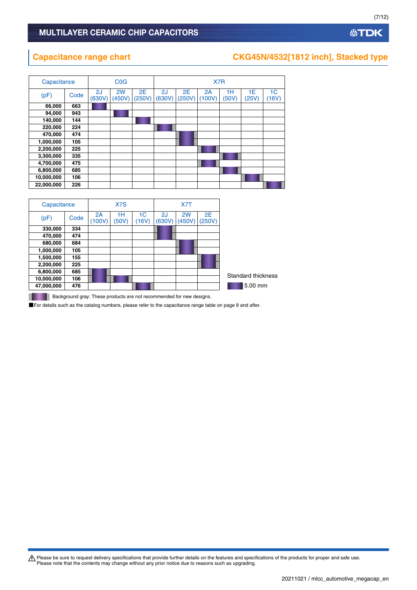**10,000,000 106 22,000,000 226**

#### **Capacitance range chart CKG45N/4532[1812 inch], Stacked type**

thickness

| Capacitance |      |              | C <sub>0</sub> G |              | X7R          |              |              |             |             |                         |  |  |  |
|-------------|------|--------------|------------------|--------------|--------------|--------------|--------------|-------------|-------------|-------------------------|--|--|--|
| (pF)        | Code | 2J<br>(630V) | 2W<br>(450V)     | 2E<br>(250V) | 2J<br>(630V) | 2E<br>(250V) | 2A<br>(100V) | 1H<br>(50V) | 1E<br>(25V) | 1 <sup>C</sup><br>(16V) |  |  |  |
| 66,000      | 663  |              |                  |              |              |              |              |             |             |                         |  |  |  |
| 94,000      | 943  |              |                  |              |              |              |              |             |             |                         |  |  |  |
| 140,000     | 144  |              |                  |              |              |              |              |             |             |                         |  |  |  |
| 220,000     | 224  |              |                  |              |              |              |              |             |             |                         |  |  |  |
| 470,000     | 474  |              |                  |              |              |              |              |             |             |                         |  |  |  |
| 1,000,000   | 105  |              |                  |              |              |              |              |             |             |                         |  |  |  |
| 2,200,000   | 225  |              |                  |              |              |              |              |             |             |                         |  |  |  |
| 3,300,000   | 335  |              |                  |              |              |              |              |             |             |                         |  |  |  |
| 4,700,000   | 475  |              |                  |              |              |              |              |             |             |                         |  |  |  |
| 6,800,000   | 685  |              |                  |              |              |              |              |             |             |                         |  |  |  |
| 10,000,000  | 106  |              |                  |              |              |              |              |             |             |                         |  |  |  |

|            | Capacitance |              | X7S         |             |              | X7T          |              |                 |
|------------|-------------|--------------|-------------|-------------|--------------|--------------|--------------|-----------------|
| (pF)       | Code        | 2A<br>(100V) | 1H<br>(50V) | 1C<br>(16V) | 2J<br>(630V) | 2W<br>(450V) | 2E<br>(250V) |                 |
| 330,000    | 334         |              |             |             |              |              |              |                 |
| 470,000    | 474         |              |             |             |              |              |              |                 |
| 680,000    | 684         |              |             |             |              |              |              |                 |
| 1,000,000  | 105         |              |             |             |              |              |              |                 |
| 1,500,000  | 155         |              |             |             |              |              |              |                 |
| 2,200,000  | 225         |              |             |             |              |              |              |                 |
| 6,800,000  | 685         |              |             |             |              |              |              | Standard thickn |
| 10,000,000 | 106         |              |             |             |              |              |              |                 |
| 47,000,000 | 476         |              |             |             |              |              |              | 5.00 mm         |
|            |             |              |             |             |              |              |              |                 |

**Background gray: These products are not recommended for new designs.** 

■For details such as the catalog numbers, please refer to the capacitance range table on page 9 and after.

Please be sure to request delivery specifications that provide further details on the features and specifications of the products for proper and safe use.<br>Please note that the contents may change without any prior notice d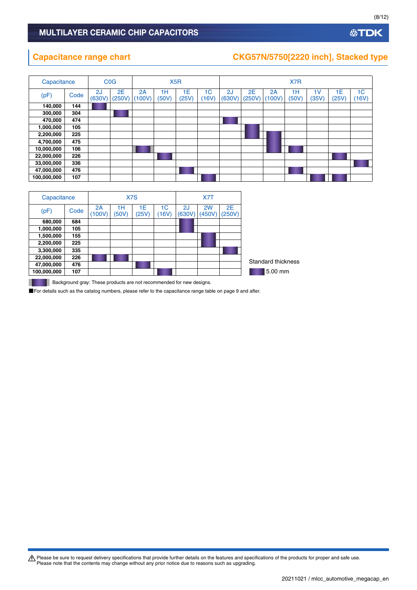### **Capacitance range chart CKG57N/5750[2220 inch], Stacked type**

|             | <b>C<sub>0</sub>G</b><br>Capacitance |              |              | X <sub>5</sub> R |             |             |                         | X7R          |              |              |             |                         |             |                         |  |
|-------------|--------------------------------------|--------------|--------------|------------------|-------------|-------------|-------------------------|--------------|--------------|--------------|-------------|-------------------------|-------------|-------------------------|--|
| (pF)        | Code                                 | 2J<br>(630V) | 2E<br>(250V) | 2A<br>100V       | 1H<br>(50V) | 1E<br>(25V) | 1 <sub>C</sub><br>(16V) | 2J<br>(630V) | 2E<br>(250V) | 2A<br>(100V) | 1H<br>(50V) | 1 <sub>V</sub><br>(35V) | 1E<br>(25V) | 1 <sub>C</sub><br>(16V) |  |
| 140,000     | 144                                  |              |              |                  |             |             |                         |              |              |              |             |                         |             |                         |  |
| 300,000     | 304                                  |              |              |                  |             |             |                         |              |              |              |             |                         |             |                         |  |
| 470,000     | 474                                  |              |              |                  |             |             |                         |              |              |              |             |                         |             |                         |  |
| 1,000,000   | 105                                  |              |              |                  |             |             |                         |              |              |              |             |                         |             |                         |  |
| 2,200,000   | 225                                  |              |              |                  |             |             |                         |              |              |              |             |                         |             |                         |  |
| 4,700,000   | 475                                  |              |              |                  |             |             |                         |              |              |              |             |                         |             |                         |  |
| 10,000,000  | 106                                  |              |              |                  |             |             |                         |              |              |              |             |                         |             |                         |  |
| 22,000,000  | 226                                  |              |              |                  |             |             |                         |              |              |              |             |                         |             |                         |  |
| 33,000,000  | 336                                  |              |              |                  |             |             |                         |              |              |              |             |                         |             |                         |  |
| 47,000,000  | 476                                  |              |              |                  |             |             |                         |              |              |              |             |                         |             |                         |  |
| 100,000,000 | 107                                  |              |              |                  |             |             |                         |              |              |              |             |                         |             |                         |  |

| Capacitance        |              |             | X7S         | X7T         |              |              |              |  |
|--------------------|--------------|-------------|-------------|-------------|--------------|--------------|--------------|--|
| (pF)<br>Code       | 2A<br>(100V) | 1Н<br>(50V) | 1E<br>(25V) | 1C<br>(16V) | 2J<br>(630V) | 2W<br>(450V) | 2E<br>(250V) |  |
| 680,000<br>684     |              |             |             |             |              |              |              |  |
| 1,000,000<br>105   |              |             |             |             |              |              |              |  |
| 1,500,000<br>155   |              |             |             |             |              |              |              |  |
| 2,200,000<br>225   |              |             |             |             |              |              |              |  |
| 3,300,000<br>335   |              |             |             |             |              |              |              |  |
| 226<br>22,000,000  |              |             |             |             |              |              |              |  |
| 476<br>47,000,000  |              |             |             |             |              |              |              |  |
| 100,000,000<br>107 |              |             |             |             |              |              |              |  |

**Background gray: These products are not recommended for new designs.** 

■For details such as the catalog numbers, please refer to the capacitance range table on page 9 and after.

Please be sure to request delivery specifications that provide further details on the features and specifications of the products for proper and safe use.<br>Please note that the contents may change without any prior notice d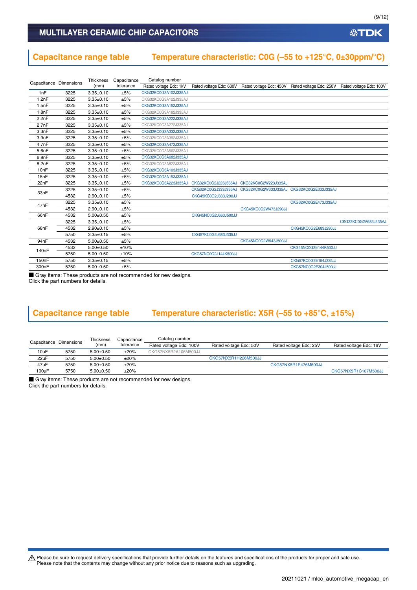#### **Capacitance range table Temperature characteristic: C0G (–55 to +125°C, 0±30ppm/°C)**

| Capacitance Dimensions |      | Thickness       | Capacitance | Catalog number         |                      |                                                                                                 |                      |                      |
|------------------------|------|-----------------|-------------|------------------------|----------------------|-------------------------------------------------------------------------------------------------|----------------------|----------------------|
|                        |      | (mm)            | tolerance   | Rated voltage Edc: 1kV |                      | Rated voltage Edc: 630V Rated voltage Edc: 450V Rated voltage Edc: 250V Rated voltage Edc: 100V |                      |                      |
| 1nF                    | 3225 | $3.35 \pm 0.10$ | ±5%         | CKG32KC0G3A102J335AJ   |                      |                                                                                                 |                      |                      |
| 1.2nF                  | 3225 | $3.35 \pm 0.10$ | ±5%         | CKG32KC0G3A122J335AJ   |                      |                                                                                                 |                      |                      |
| 1.5nF                  | 3225 | $3.35 \pm 0.10$ | ±5%         | CKG32KC0G3A152J335AJ   |                      |                                                                                                 |                      |                      |
| 1.8nF                  | 3225 | $3.35 \pm 0.10$ | ±5%         | CKG32KC0G3A182J335AJ   |                      |                                                                                                 |                      |                      |
| 2.2nF                  | 3225 | $3.35 \pm 0.10$ | ±5%         | CKG32KC0G3A222J335AJ   |                      |                                                                                                 |                      |                      |
| 2.7nF                  | 3225 | $3.35 \pm 0.10$ | ±5%         | CKG32KC0G3A272J335AJ   |                      |                                                                                                 |                      |                      |
| 3.3nF                  | 3225 | $3.35 \pm 0.10$ | ±5%         | CKG32KC0G3A332J335AJ   |                      |                                                                                                 |                      |                      |
| 3.9nF                  | 3225 | $3.35 \pm 0.10$ | ±5%         | CKG32KC0G3A392J335AJ   |                      |                                                                                                 |                      |                      |
| 4.7nF                  | 3225 | $3.35 \pm 0.10$ | ±5%         | CKG32KC0G3A472J335AJ   |                      |                                                                                                 |                      |                      |
| 5.6nF                  | 3225 | $3.35 \pm 0.10$ | ±5%         | CKG32KC0G3A562J335AJ   |                      |                                                                                                 |                      |                      |
| 6.8nF                  | 3225 | $3.35 \pm 0.10$ | ±5%         | CKG32KC0G3A682J335AJ   |                      |                                                                                                 |                      |                      |
| 8.2nF                  | 3225 | $3.35 \pm 0.10$ | ±5%         | CKG32KC0G3A822J335AJ   |                      |                                                                                                 |                      |                      |
| 10 <sub>n</sub> F      | 3225 | $3.35 \pm 0.10$ | ±5%         | CKG32KC0G3A103J335AJ   |                      |                                                                                                 |                      |                      |
| 15nF                   | 3225 | $3.35 \pm 0.10$ | ±5%         | CKG32KC0G3A153J335AJ   |                      |                                                                                                 |                      |                      |
| 22nF                   | 3225 | $3.35 \pm 0.10$ | ±5%         | CKG32KC0G3A223J335AJ   | CKG32KC0G2J223J335AJ | CKG32KC0G2W223J335AJ                                                                            |                      |                      |
| 33nF                   | 3225 | $3.35 \pm 0.10$ | ±5%         |                        | CKG32KC0G2J333J335AJ | CKG32KC0G2W333J335AJ                                                                            | CKG32KC0G2E333J335AJ |                      |
|                        | 4532 | $2.90+0.10$     | ±5%         |                        | CKG45KC0G2J333J290JJ |                                                                                                 |                      |                      |
| 47nF                   | 3225 | $3.35 \pm 0.10$ | ±5%         |                        |                      |                                                                                                 | CKG32KC0G2E473J335AJ |                      |
|                        | 4532 | $2.90+0.10$     | ±5%         |                        |                      | CKG45KC0G2W473J290JJ                                                                            |                      |                      |
| 66nF                   | 4532 | $5.00 \pm 0.50$ | ±5%         |                        | CKG45NC0G2J663J500JJ |                                                                                                 |                      |                      |
|                        | 3225 | $3.35 \pm 0.10$ | ±5%         |                        |                      |                                                                                                 |                      | CKG32KC0G2A683J335AJ |
| 68nF                   | 4532 | $2.90+0.10$     | ±5%         |                        |                      |                                                                                                 | CKG45KC0G2E683J290JJ |                      |
|                        | 5750 | $3.35 \pm 0.15$ | ±5%         |                        | CKG57KC0G2J683J335JJ |                                                                                                 |                      |                      |
| 94nF                   | 4532 | $5.00 \pm 0.50$ | ±5%         |                        |                      | CKG45NC0G2W943J500JJ                                                                            |                      |                      |
| 140nF                  | 4532 | $5.00 \pm 0.50$ | ±10%        |                        |                      |                                                                                                 | CKG45NC0G2E144K500JJ |                      |
|                        | 5750 | $5.00 \pm 0.50$ | ±10%        |                        | CKG57NC0G2J144K500JJ |                                                                                                 |                      |                      |
| 150 <sub>n</sub> F     | 5750 | $3.35 \pm 0.15$ | ±5%         |                        |                      |                                                                                                 | CKG57KC0G2E154J335JJ |                      |
| 300nF                  | 5750 | $5.00 \pm 0.50$ | ±5%         |                        |                      |                                                                                                 | CKG57NC0G2E304J500JJ |                      |

■ Gray items: These products are not recommended for new designs. Click the part numbers for details.

### **Capacitance range table Temperature characteristic: X5R (–55 to +85°C, ±15%)**

|           | Capacitance Dimensions | Thickness<br>(mm) | Capacitance<br>tolerance | Catalog number<br>Rated voltage Edc: 100V | Rated voltage Edc: 50V | Rated voltage Edc: 25V | Rated voltage Edc: 16V |
|-----------|------------------------|-------------------|--------------------------|-------------------------------------------|------------------------|------------------------|------------------------|
| $10\mu F$ | 5750                   | $5.00+0.50$       | $±20\%$                  | CKG57NX5R2A106M500JJ                      |                        |                        |                        |
| $22\mu F$ | 5750                   | $5.00 \pm 0.50$   | $±20\%$                  |                                           | CKG57NX5R1H226M500JJ   |                        |                        |
| $47\mu F$ | 5750                   | $5.00+0.50$       | ±20%                     |                                           |                        | CKG57NX5R1E476M500JJ   |                        |
| 100µF     | 5750                   | $5.00 \pm 0.50$   | ±20%                     |                                           |                        |                        | CKG57NX5R1C107M500JJ   |

■ Gray items: These products are not recommended for new designs. Click the part numbers for details.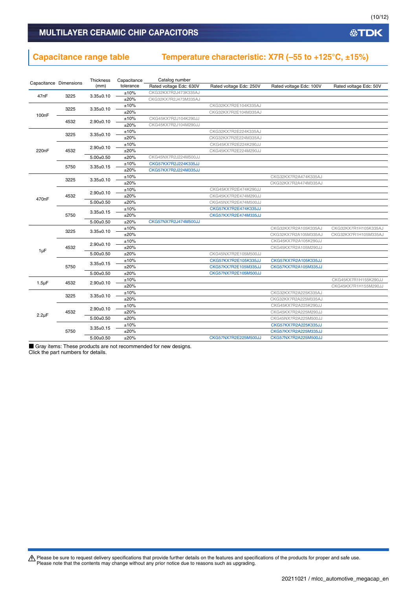#### **Capacitance range table Temperature characteristic: X7R (–55 to +125°C, ±15%)**

|                    |                        | Thickness       | Capacitance | Catalog number          |                         |                         |                        |
|--------------------|------------------------|-----------------|-------------|-------------------------|-------------------------|-------------------------|------------------------|
|                    | Capacitance Dimensions | (mm)            | tolerance   | Rated voltage Edc: 630V | Rated voltage Edc: 250V | Rated voltage Edc: 100V | Rated voltage Edc: 50V |
| 47nF               | 3225                   |                 | ±10%        | CKG32KX7R2J473K335AJ    |                         |                         |                        |
|                    |                        | $3.35 \pm 0.10$ | ±20%        | CKG32KX7R2J473M335AJ    |                         |                         |                        |
|                    |                        | $3.35 \pm 0.10$ | ±10%        |                         | CKG32KX7R2E104K335AJ    |                         |                        |
| 100nF              | 3225                   |                 | ±20%        |                         | CKG32KX7R2E104M335AJ    |                         |                        |
|                    |                        |                 | ±10%        | CKG45KX7R2J104K290JJ    |                         |                         |                        |
|                    | 4532                   | $2.90+0.10$     | ±20%        | CKG45KX7R2J104M290JJ    |                         |                         |                        |
|                    |                        |                 | ±10%        |                         | CKG32KX7R2E224K335AJ    |                         |                        |
|                    | 3225                   | $3.35 \pm 0.10$ | ±20%        |                         | CKG32KX7R2E224M335AJ    |                         |                        |
|                    |                        |                 | ±10%        |                         | CKG45KX7R2E224K290JJ    |                         |                        |
| 220nF              | 4532                   | $2.90+0.10$     | ±20%        |                         | CKG45KX7R2E224M290JJ    |                         |                        |
|                    |                        | $5.00+0.50$     | ±20%        | CKG45NX7R2J224M500JJ    |                         |                         |                        |
|                    |                        |                 | ±10%        | CKG57KX7R2J224K335JJ    |                         |                         |                        |
|                    | 5750                   | $3.35 \pm 0.15$ | ±20%        | CKG57KX7R2J224M335JJ    |                         |                         |                        |
|                    |                        |                 | ±10%        |                         |                         | CKG32KX7R2A474K335AJ    |                        |
|                    | 3225                   | $3.35 \pm 0.10$ | ±20%        |                         |                         | CKG32KX7R2A474M335AJ    |                        |
|                    |                        |                 | ±10%        |                         | CKG45KX7R2E474K290JJ    |                         |                        |
|                    | 4532                   | $2.90+0.10$     | ±20%        |                         | CKG45KX7R2E474M290JJ    |                         |                        |
| 470 <sub>n</sub> F |                        | $5.00 \pm 0.50$ | ±20%        |                         | CKG45NX7R2E474M500JJ    |                         |                        |
|                    |                        |                 | ±10%        |                         | CKG57KX7R2E474K335JJ    |                         |                        |
|                    | 5750                   | $3.35 \pm 0.15$ | ±20%        |                         | CKG57KX7R2E474M335JJ    |                         |                        |
|                    |                        | $5.00+0.50$     | ±20%        | CKG57NX7R2J474M500JJ    |                         |                         |                        |
|                    |                        |                 | ±10%        |                         |                         | CKG32KX7R2A105K335AJ    | CKG32KX7R1H105K335AJ   |
|                    | 3225                   | $3.35 \pm 0.10$ | ±20%        |                         |                         | CKG32KX7R2A105M335AJ    | CKG32KX7R1H105M335AJ   |
|                    |                        |                 | ±10%        |                         |                         | CKG45KX7R2A105K290JJ    |                        |
|                    | 4532                   | $2.90+0.10$     | ±20%        |                         |                         | CKG45KX7R2A105M290JJ    |                        |
| $1\mu F$           |                        | $5.00 \pm 0.50$ | ±20%        |                         | CKG45NX7R2E105M500JJ    |                         |                        |
|                    |                        |                 | ±10%        |                         | CKG57KX7R2E105K335JJ    | CKG57KX7R2A105K335JJ    |                        |
|                    | 5750                   | $3.35 \pm 0.15$ | ±20%        |                         | CKG57KX7R2E105M335JJ    | CKG57KX7R2A105M335JJ    |                        |
|                    |                        | $5.00+0.50$     | ±20%        |                         | CKG57NX7R2E105M500JJ    |                         |                        |
|                    |                        |                 | ±10%        |                         |                         |                         | CKG45KX7R1H155K290JJ   |
| $1.5 \mu F$        | 4532                   | $2.90+0.10$     | ±20%        |                         |                         |                         | CKG45KX7R1H155M290JJ   |
|                    |                        |                 | ±10%        |                         |                         | CKG32KX7R2A225K335AJ    |                        |
|                    | 3225                   | $3.35 \pm 0.10$ | ±20%        |                         |                         | CKG32KX7R2A225M335AJ    |                        |
|                    |                        |                 | ±10%        |                         |                         | CKG45KX7R2A225K290JJ    |                        |
|                    | 4532                   | $2.90+0.10$     | ±20%        |                         |                         | CKG45KX7R2A225M290JJ    |                        |
| $2.2\mu F$         |                        | $5.00+0.50$     | ±20%        |                         |                         | CKG45NX7R2A225M500JJ    |                        |
|                    |                        |                 | ±10%        |                         |                         | CKG57KX7R2A225K335JJ    |                        |
|                    | 5750                   | $3.35 \pm 0.15$ | ±20%        |                         |                         | CKG57KX7R2A225M335JJ    |                        |
|                    |                        | $5.00+0.50$     | ±20%        |                         | CKG57NX7R2E225M500JJ    | CKG57NX7R2A225M500JJ    |                        |

■ Gray items: These products are not recommended for new designs. Click the part numbers for details.

Please be sure to request delivery specifications that provide further details on the features and specifications of the products for proper and safe use.<br>Please note that the contents may change without any prior notice d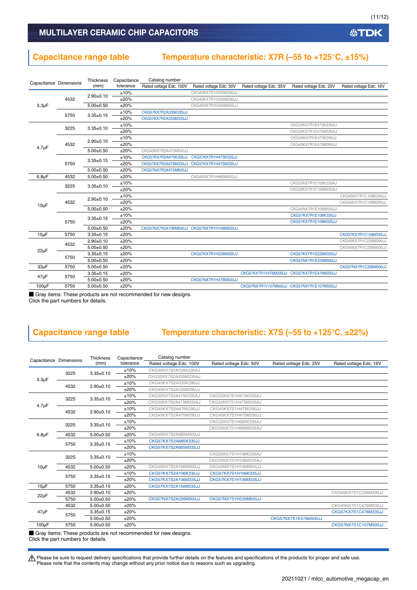**公TDK** 

#### MULTILAYER CERAMIC CHIP CAPACITORS

#### **Capacitance range table Temperature characteristic: X7R (–55 to +125°C, ±15%)**

|                        |      | Thickness       | Capacitance | Catalog number          |                                           |                        |                                                                                                                                                                                                                                                                      |                        |
|------------------------|------|-----------------|-------------|-------------------------|-------------------------------------------|------------------------|----------------------------------------------------------------------------------------------------------------------------------------------------------------------------------------------------------------------------------------------------------------------|------------------------|
| Capacitance Dimensions |      | (mm)            | tolerance   | Rated voltage Edc: 100V | Rated voltage Edc: 50V                    | Rated voltage Edc: 35V | Rated voltage Edc: 25V                                                                                                                                                                                                                                               | Rated voltage Edc: 16V |
|                        |      | $2.90+0.10$     | ±10%        |                         | CKG45KX7R1H335K290JJ                      |                        | CKG32KX7R1E475K335AJ<br>CKG32KX7R1E475M335AJ<br>CKG45KX7R1E475K290JJ<br>CKG45KX7R1E475M290JJ<br>CKG32KX7R1E106K335AJ<br>CKG32KX7R1E106M335AJ<br>CKG45NX7R1E106M500JJ<br>CKG57KX7R1E106K335JJ<br>CKG57KX7R1E106M335JJ<br>CKG57KX7R1E226M335JJ<br>CKG57NX7R1E226M500JJ |                        |
|                        | 4532 |                 | ±20%        |                         | CKG45KX7R1H335M290JJ                      |                        |                                                                                                                                                                                                                                                                      |                        |
| $3.3\mu F$             |      | $5.00+0.50$     | ±20%        |                         | CKG45NX7R1H335M500JJ                      |                        |                                                                                                                                                                                                                                                                      |                        |
|                        | 5750 | $3.35 \pm 0.15$ | ±10%        | CKG57KX7R2A335K335JJ    |                                           |                        |                                                                                                                                                                                                                                                                      |                        |
|                        |      |                 | ±20%        | CKG57KX7R2A335M335JJ    |                                           |                        | CKG57KX7R1V476M335JJ CKG57KX7R1E476M335JJ<br>CKG57NX7R1V107M500JJ CKG57NX7R1E107M500JJ                                                                                                                                                                               |                        |
| $4.7 \mu F$            | 3225 | $3.35 \pm 0.10$ | ±10%        |                         |                                           |                        |                                                                                                                                                                                                                                                                      |                        |
|                        |      |                 | ±20%        |                         |                                           |                        |                                                                                                                                                                                                                                                                      |                        |
|                        |      | $2.90+0.10$     | ±10%        |                         |                                           |                        |                                                                                                                                                                                                                                                                      |                        |
|                        | 4532 |                 | ±20%        |                         |                                           |                        |                                                                                                                                                                                                                                                                      |                        |
|                        |      | $5.00+0.50$     | ±20%        | CKG45NX7R2A475M500JJ    |                                           |                        |                                                                                                                                                                                                                                                                      |                        |
|                        | 5750 | $3.35 \pm 0.15$ | ±10%        | CKG57KX7R2A475K335JJ    | CKG57KX7R1H475K335JJ                      |                        |                                                                                                                                                                                                                                                                      |                        |
|                        |      |                 | ±20%        | CKG57KX7R2A475M335JJ    | CKG57KX7R1H475M335JJ                      |                        |                                                                                                                                                                                                                                                                      |                        |
|                        |      | $5.00 \pm 0.50$ | ±20%        | CKG57NX7R2A475M500JJ    |                                           |                        |                                                                                                                                                                                                                                                                      |                        |
| $6.8\mu F$             | 4532 | $5.00+0.50$     | ±20%        |                         | CKG45NX7R1H685M500JJ                      |                        |                                                                                                                                                                                                                                                                      |                        |
|                        | 3225 | $3.35 \pm 0.10$ | ±10%        |                         |                                           |                        |                                                                                                                                                                                                                                                                      |                        |
|                        |      |                 | ±20%        |                         |                                           |                        |                                                                                                                                                                                                                                                                      |                        |
|                        | 4532 | $2.90 \pm 0.10$ | ±10%        |                         |                                           |                        |                                                                                                                                                                                                                                                                      | CKG45KX7R1C106K290JJ   |
| $10\mu F$              |      |                 | ±20%        |                         |                                           |                        |                                                                                                                                                                                                                                                                      | CKG45KX7R1C106M290JJ   |
|                        |      | $5.00+0.50$     | ±20%        |                         |                                           |                        |                                                                                                                                                                                                                                                                      |                        |
|                        | 5750 | $3.35 \pm 0.15$ | ±10%        |                         |                                           |                        |                                                                                                                                                                                                                                                                      |                        |
|                        |      |                 | ±20%        |                         |                                           |                        |                                                                                                                                                                                                                                                                      |                        |
|                        |      | $5.00 \pm 0.50$ | ±20%        |                         | CKG57NX7R2A106M500JJ CKG57NX7R1H106M500JJ |                        |                                                                                                                                                                                                                                                                      |                        |
| $15\mu F$              | 5750 | $3.35 \pm 0.15$ | ±20%        |                         |                                           |                        |                                                                                                                                                                                                                                                                      | CKG57KX7R1C156M335JJ   |
|                        | 4532 | $2.90+0.10$     | ±20%        |                         |                                           |                        |                                                                                                                                                                                                                                                                      | CKG45KX7R1C226M290JJ   |
| $22\mu F$              |      | $5.00 \pm 0.50$ | ±20%        |                         |                                           |                        |                                                                                                                                                                                                                                                                      | CKG45NX7R1C226M500JJ   |
|                        | 5750 | $3.35 \pm 0.15$ | ±20%        |                         | CKG57KX7R1H226M335JJ                      |                        |                                                                                                                                                                                                                                                                      |                        |
|                        |      | $5.00+0.50$     | ±20%        |                         |                                           |                        |                                                                                                                                                                                                                                                                      |                        |
| $33\mu F$              | 5750 | $5.00 + 0.50$   | ±20%        |                         |                                           |                        |                                                                                                                                                                                                                                                                      | CKG57NX7R1C336M500JJ   |
| $47\mu F$              | 5750 | $3.35 \pm 0.15$ | ±20%        |                         |                                           |                        |                                                                                                                                                                                                                                                                      |                        |
|                        |      | $5.00 \pm 0.50$ | ±20%        |                         | CKG57NX7R1H476M500JJ                      |                        |                                                                                                                                                                                                                                                                      |                        |
| $100\mu F$             | 5750 | $5.00 \pm 0.50$ | ±20%        |                         |                                           |                        |                                                                                                                                                                                                                                                                      |                        |

■ Gray items: These products are not recommended for new designs.

Click the part numbers for details.

#### **Capacitance range table Temperature characteristic: X7S (–55 to +125°C, ±22%)**

| Capacitance Dimensions |      | <b>Thickness</b> | Capacitance | Catalog number          |                        |                        |                        |
|------------------------|------|------------------|-------------|-------------------------|------------------------|------------------------|------------------------|
|                        |      | (mm)             | tolerance   | Rated voltage Edc: 100V | Rated voltage Edc: 50V | Rated voltage Edc: 25V | Rated voltage Edc: 16V |
|                        |      |                  | ±10%        | CKG32KX7S2A335K335AJ    |                        |                        |                        |
| $3.3\mu F$             | 3225 | $3.35 \pm 0.10$  | ±20%        | CKG32KX7S2A335M335AJ    |                        |                        |                        |
|                        | 4532 | $2.90 \pm 0.10$  | ±10%        | CKG45KX7S2A335K290JJ    |                        |                        |                        |
|                        |      |                  | ±20%        | CKG45KX7S2A335M290JJ    |                        |                        |                        |
| $4.7 \mu F$            | 3225 | $3.35 \pm 0.10$  | ±10%        | CKG32KX7S2A475K335AJ    | CKG32KX7S1H475K335AJ   |                        |                        |
|                        |      |                  | ±20%        | CKG32KX7S2A475M335AJ    | CKG32KX7S1H475M335AJ   |                        |                        |
|                        | 4532 | $2.90 \pm 0.10$  | ±10%        | CKG45KX7S2A475K290JJ    | CKG45KX7S1H475K290JJ   |                        |                        |
|                        |      |                  | ±20%        | CKG45KX7S2A475M290JJ    | CKG45KX7S1H475M290JJ   |                        |                        |
| $6.8\mu F$             | 3225 | $3.35 \pm 0.10$  | ±10%        |                         | CKG32KX7S1H685K335AJ   |                        |                        |
|                        |      |                  | ±20%        |                         | CKG32KX7S1H685M335AJ   |                        |                        |
|                        | 4532 | $5.00 \pm 0.50$  | ±20%        | CKG45NX7S2A685M500JJ    |                        |                        |                        |
|                        | 5750 | $3.35 \pm 0.15$  | ±10%        | CKG57KX7S2A685K335JJ    |                        |                        |                        |
|                        |      |                  | ±20%        | CKG57KX7S2A685M335JJ    |                        |                        |                        |
| $10\mu F$              | 3225 | $3.35 \pm 0.10$  | ±10%        |                         | CKG32KX7S1H106K335AJ   |                        |                        |
|                        |      |                  | ±20%        |                         | CKG32KX7S1H106M335AJ   |                        |                        |
|                        | 4532 | $5.00+0.50$      | ±20%        | CKG45NX7S2A106M500JJ    | CKG45NX7S1H106M500JJ   |                        |                        |
|                        | 5750 | $3.35 \pm 0.15$  | ±10%        | CKG57KX7S2A106K335JJ    | CKG57KX7S1H106K335JJ   |                        |                        |
|                        |      |                  | ±20%        | CKG57KX7S2A106M335JJ    | CKG57KX7S1H106M335JJ   |                        |                        |
| $15\mu F$              | 5750 | $3.35 + 0.15$    | ±20%        | CKG57KX7S2A156M335JJ    |                        |                        |                        |
| $22\mu F$              | 4532 | $2.90+0.10$      | ±20%        |                         |                        |                        | CKG45KX7S1C226M290JJ   |
|                        | 5750 | $5.00+0.50$      | ±20%        | CKG57NX7S2A226M500JJ    | CKG57NX7S1H226M500JJ   |                        |                        |
| $47\mu F$              | 4532 | $5.00+0.50$      | ±20%        |                         |                        |                        | CKG45NX7S1C476M500JJ   |
|                        | 5750 | $3.35 \pm 0.15$  | ±20%        |                         |                        |                        | CKG57KX7S1C476M335JJ   |
|                        |      | $5.00+0.50$      | ±20%        |                         |                        | CKG57NX7S1E476M500JJ   |                        |
| 100µF                  | 5750 | $5.00 \pm 0.50$  | ±20%        |                         |                        |                        | CKG57NX7S1C107M500JJ   |
|                        |      |                  |             |                         |                        |                        |                        |

■ Gray items: These products are not recommended for new designs. Click the part numbers for details.

Please be sure to request delivery specifications that provide further details on the features and specifications of the products for proper and safe use.<br>Please note that the contents may change without any prior notice d